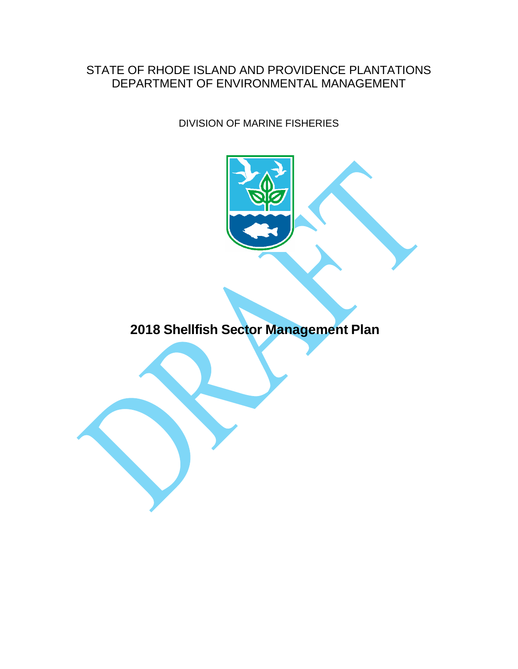#### STATE OF RHODE ISLAND AND PROVIDENCE PLANTATIONS DEPARTMENT OF ENVIRONMENTAL MANAGEMENT

DIVISION OF MARINE FISHERIES



**2018 Shellfish Sector Management Plan**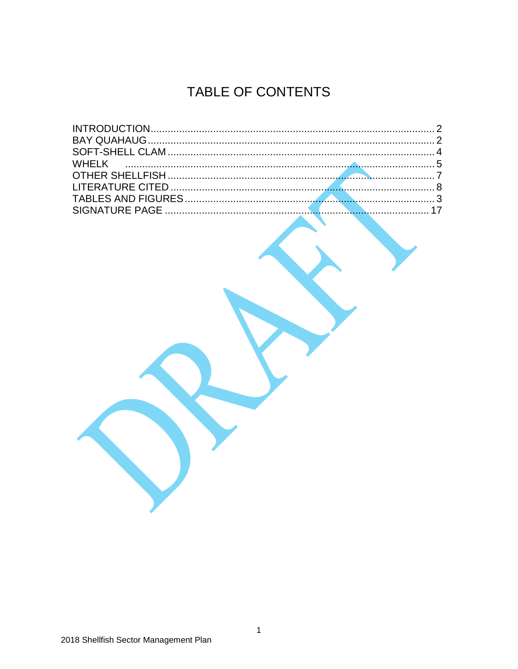# TABLE OF CONTENTS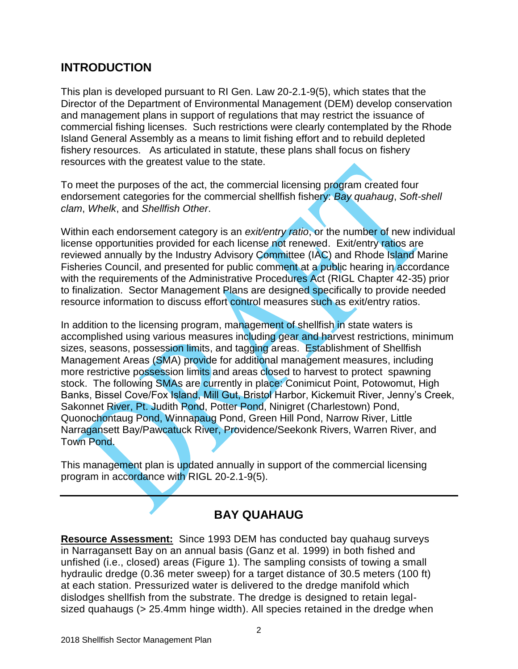#### **INTRODUCTION**

This plan is developed pursuant to RI Gen. Law 20-2.1-9(5), which states that the Director of the Department of Environmental Management (DEM) develop conservation and management plans in support of regulations that may restrict the issuance of commercial fishing licenses. Such restrictions were clearly contemplated by the Rhode Island General Assembly as a means to limit fishing effort and to rebuild depleted fishery resources. As articulated in statute, these plans shall focus on fishery resources with the greatest value to the state.

To meet the purposes of the act, the commercial licensing program created four endorsement categories for the commercial shellfish fishery: *Bay quahaug*, *Soft-shell clam*, *Whelk*, and *Shellfish Other*.

Within each endorsement category is an *exit/entry ratio*, or the number of new individual license opportunities provided for each license not renewed. Exit/entry ratios are reviewed annually by the Industry Advisory Committee (IAC) and Rhode Island Marine Fisheries Council, and presented for public comment at a public hearing in accordance with the requirements of the Administrative Procedures Act (RIGL Chapter 42-35) prior to finalization. Sector Management Plans are designed specifically to provide needed resource information to discuss effort control measures such as exit/entry ratios.

In addition to the licensing program, management of shellfish in state waters is accomplished using various measures including gear and harvest restrictions, minimum sizes, seasons, possession limits, and tagging areas. Establishment of Shellfish Management Areas (SMA) provide for additional management measures, including more restrictive possession limits and areas closed to harvest to protect spawning stock. The following SMAs are currently in place: Conimicut Point, Potowomut, High Banks, Bissel Cove/Fox Island, Mill Gut, Bristol Harbor, Kickemuit River, Jenny's Creek, Sakonnet River, Pt. Judith Pond, Potter Pond, Ninigret (Charlestown) Pond, Quonochontaug Pond, Winnapaug Pond, Green Hill Pond, Narrow River, Little Narragansett Bay/Pawcatuck River, Providence/Seekonk Rivers, Warren River, and Town Pond.

This management plan is updated annually in support of the commercial licensing program in accordance with RIGL 20-2.1-9(5).

## **BAY QUAHAUG**

**Resource Assessment:** Since 1993 DEM has conducted bay quahaug surveys in Narragansett Bay on an annual basis (Ganz et al. 1999) in both fished and unfished (i.e., closed) areas (Figure 1). The sampling consists of towing a small hydraulic dredge (0.36 meter sweep) for a target distance of 30.5 meters (100 ft) at each station. Pressurized water is delivered to the dredge manifold which dislodges shellfish from the substrate. The dredge is designed to retain legalsized quahaugs (> 25.4mm hinge width). All species retained in the dredge when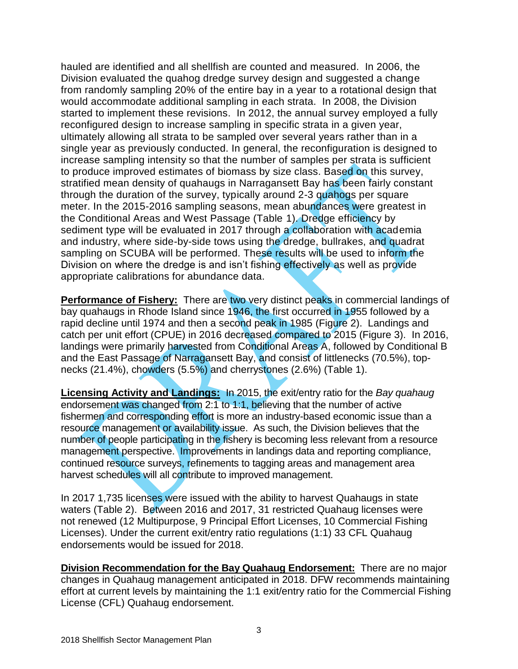hauled are identified and all shellfish are counted and measured. In 2006, the Division evaluated the quahog dredge survey design and suggested a change from randomly sampling 20% of the entire bay in a year to a rotational design that would accommodate additional sampling in each strata. In 2008, the Division started to implement these revisions. In 2012, the annual survey employed a fully reconfigured design to increase sampling in specific strata in a given year, ultimately allowing all strata to be sampled over several years rather than in a single year as previously conducted. In general, the reconfiguration is designed to increase sampling intensity so that the number of samples per strata is sufficient to produce improved estimates of biomass by size class. Based on this survey, stratified mean density of quahaugs in Narragansett Bay has been fairly constant through the duration of the survey, typically around 2-3 quahogs per square meter. In the 2015-2016 sampling seasons, mean abundances were greatest in the Conditional Areas and West Passage (Table 1). Dredge efficiency by sediment type will be evaluated in 2017 through a collaboration with academia and industry, where side-by-side tows using the dredge, bullrakes, and quadrat sampling on SCUBA will be performed. These results will be used to inform the Division on where the dredge is and isn't fishing effectively as well as provide appropriate calibrations for abundance data.

**Performance of Fishery:** There are two very distinct peaks in commercial landings of bay quahaugs in Rhode Island since 1946, the first occurred in 1955 followed by a rapid decline until 1974 and then a second peak in 1985 (Figure 2). Landings and catch per unit effort (CPUE) in 2016 decreased compared to 2015 (Figure 3). In 2016, landings were primarily harvested from Conditional Areas A, followed by Conditional B and the East Passage of Narragansett Bay, and consist of littlenecks (70.5%), topnecks (21.4%), chowders (5.5%) and cherrystones (2.6%) (Table 1).

**Licensing Activity and Landings:** In 2015, the exit/entry ratio for the *Bay quahaug* endorsement was changed from 2:1 to 1:1, believing that the number of active fishermen and corresponding effort is more an industry-based economic issue than a resource management or availability issue. As such, the Division believes that the number of people participating in the fishery is becoming less relevant from a resource management perspective. Improvements in landings data and reporting compliance, continued resource surveys, refinements to tagging areas and management area harvest schedules will all contribute to improved management.

In 2017 1,735 licenses were issued with the ability to harvest Quahaugs in state waters (Table 2). Between 2016 and 2017, 31 restricted Quahaug licenses were not renewed (12 Multipurpose, 9 Principal Effort Licenses, 10 Commercial Fishing Licenses). Under the current exit/entry ratio regulations (1:1) 33 CFL Quahaug endorsements would be issued for 2018.

**Division Recommendation for the Bay Quahaug Endorsement:** There are no major changes in Quahaug management anticipated in 2018. DFW recommends maintaining effort at current levels by maintaining the 1:1 exit/entry ratio for the Commercial Fishing License (CFL) Quahaug endorsement.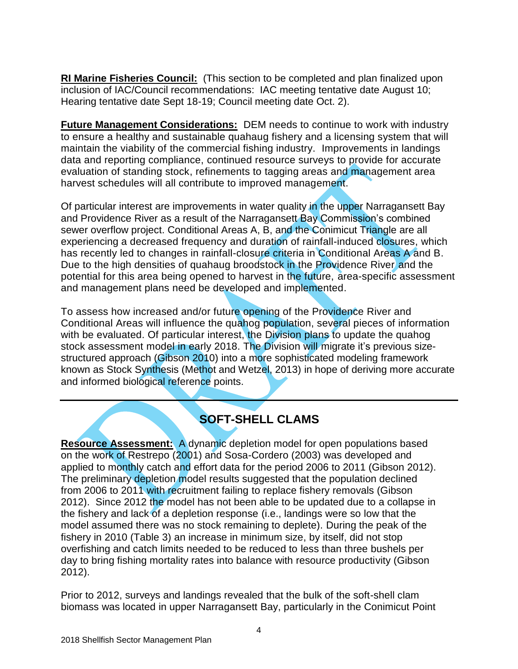**RI Marine Fisheries Council:** (This section to be completed and plan finalized upon inclusion of IAC/Council recommendations: IAC meeting tentative date August 10; Hearing tentative date Sept 18-19; Council meeting date Oct. 2).

**Future Management Considerations:** DEM needs to continue to work with industry to ensure a healthy and sustainable quahaug fishery and a licensing system that will maintain the viability of the commercial fishing industry. Improvements in landings data and reporting compliance, continued resource surveys to provide for accurate evaluation of standing stock, refinements to tagging areas and management area harvest schedules will all contribute to improved management.

Of particular interest are improvements in water quality in the upper Narragansett Bay and Providence River as a result of the Narragansett Bay Commission's combined sewer overflow project. Conditional Areas A, B, and the Conimicut Triangle are all experiencing a decreased frequency and duration of rainfall-induced closures, which has recently led to changes in rainfall-closure criteria in Conditional Areas A and B. Due to the high densities of quahaug broodstock in the Providence River and the potential for this area being opened to harvest in the future, area-specific assessment and management plans need be developed and implemented.

To assess how increased and/or future opening of the Providence River and Conditional Areas will influence the quahog population, several pieces of information with be evaluated. Of particular interest, the Division plans to update the quahog stock assessment model in early 2018. The Division will migrate it's previous sizestructured approach (Gibson 2010) into a more sophisticated modeling framework known as Stock Synthesis (Methot and Wetzel, 2013) in hope of deriving more accurate and informed biological reference points.

### **SOFT-SHELL CLAMS**

**Resource Assessment:** A dynamic depletion model for open populations based on the work of Restrepo (2001) and Sosa-Cordero (2003) was developed and applied to monthly catch and effort data for the period 2006 to 2011 (Gibson 2012). The preliminary depletion model results suggested that the population declined from 2006 to 2011 with recruitment failing to replace fishery removals (Gibson 2012). Since 2012 the model has not been able to be updated due to a collapse in the fishery and lack of a depletion response (i.e., landings were so low that the model assumed there was no stock remaining to deplete). During the peak of the fishery in 2010 (Table 3) an increase in minimum size, by itself, did not stop overfishing and catch limits needed to be reduced to less than three bushels per day to bring fishing mortality rates into balance with resource productivity (Gibson 2012).

Prior to 2012, surveys and landings revealed that the bulk of the soft-shell clam biomass was located in upper Narragansett Bay, particularly in the Conimicut Point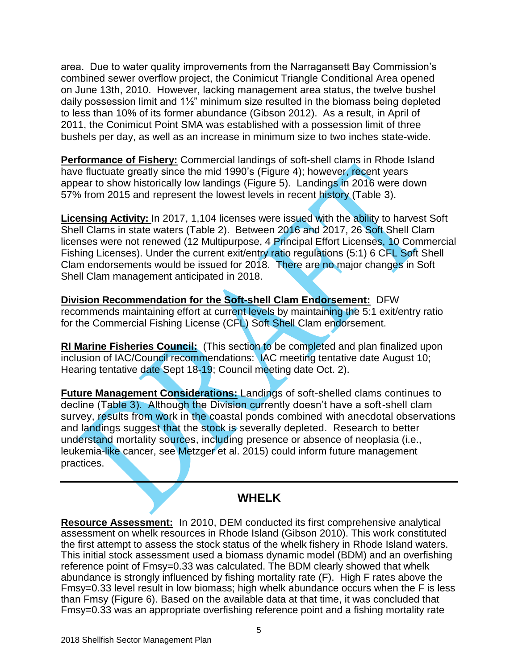area. Due to water quality improvements from the Narragansett Bay Commission's combined sewer overflow project, the Conimicut Triangle Conditional Area opened on June 13th, 2010. However, lacking management area status, the twelve bushel daily possession limit and 1½" minimum size resulted in the biomass being depleted to less than 10% of its former abundance (Gibson 2012). As a result, in April of 2011, the Conimicut Point SMA was established with a possession limit of three bushels per day, as well as an increase in minimum size to two inches state-wide.

**Performance of Fishery:** Commercial landings of soft-shell clams in Rhode Island have fluctuate greatly since the mid 1990's (Figure 4); however, recent years appear to show historically low landings (Figure 5). Landings in 2016 were down 57% from 2015 and represent the lowest levels in recent history (Table 3).

**Licensing Activity:** In 2017, 1,104 licenses were issued with the ability to harvest Soft Shell Clams in state waters (Table 2). Between 2016 and 2017, 26 Soft Shell Clam licenses were not renewed (12 Multipurpose, 4 Principal Effort Licenses, 10 Commercial Fishing Licenses). Under the current exit/entry ratio regulations (5:1) 6 CFL Soft Shell Clam endorsements would be issued for 2018. There are no major changes in Soft Shell Clam management anticipated in 2018.

**Division Recommendation for the Soft-shell Clam Endorsement:** DFW recommends maintaining effort at current levels by maintaining the 5:1 exit/entry ratio for the Commercial Fishing License (CFL) Soft Shell Clam endorsement.

**RI Marine Fisheries Council:** (This section to be completed and plan finalized upon inclusion of IAC/Council recommendations: IAC meeting tentative date August 10; Hearing tentative date Sept 18-19; Council meeting date Oct. 2).

**Future Management Considerations:** Landings of soft-shelled clams continues to decline (Table 3). Although the Division currently doesn't have a soft-shell clam survey, results from work in the coastal ponds combined with anecdotal observations and landings suggest that the stock is severally depleted. Research to better understand mortality sources, including presence or absence of neoplasia (i.e., leukemia-like cancer, see Metzger et al. 2015) could inform future management practices.

#### **WHELK**

**Resource Assessment:** In 2010, DEM conducted its first comprehensive analytical assessment on whelk resources in Rhode Island (Gibson 2010). This work constituted the first attempt to assess the stock status of the whelk fishery in Rhode Island waters. This initial stock assessment used a biomass dynamic model (BDM) and an overfishing reference point of Fmsy=0.33 was calculated. The BDM clearly showed that whelk abundance is strongly influenced by fishing mortality rate (F). High F rates above the Fmsy=0.33 level result in low biomass; high whelk abundance occurs when the F is less than Fmsy (Figure 6). Based on the available data at that time, it was concluded that Fmsy=0.33 was an appropriate overfishing reference point and a fishing mortality rate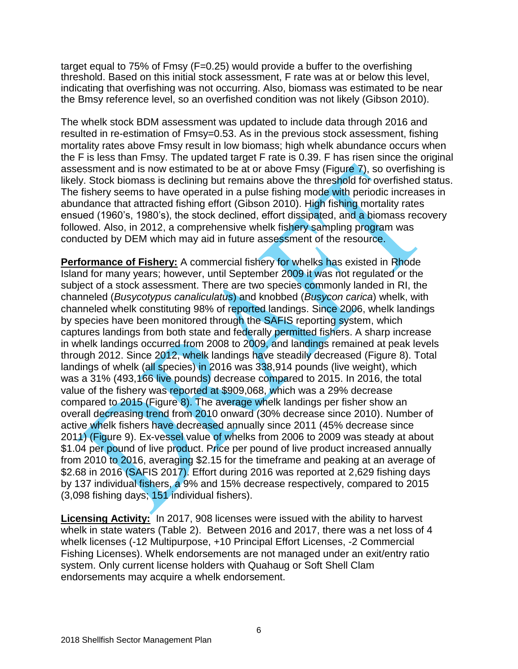target equal to 75% of Fmsy (F=0.25) would provide a buffer to the overfishing threshold. Based on this initial stock assessment, F rate was at or below this level, indicating that overfishing was not occurring. Also, biomass was estimated to be near the Bmsy reference level, so an overfished condition was not likely (Gibson 2010).

The whelk stock BDM assessment was updated to include data through 2016 and resulted in re-estimation of Fmsy=0.53. As in the previous stock assessment, fishing mortality rates above Fmsy result in low biomass; high whelk abundance occurs when the F is less than Fmsy. The updated target F rate is 0.39. F has risen since the original assessment and is now estimated to be at or above Fmsy (Figure 7), so overfishing is likely. Stock biomass is declining but remains above the threshold for overfished status. The fishery seems to have operated in a pulse fishing mode with periodic increases in abundance that attracted fishing effort (Gibson 2010). High fishing mortality rates ensued (1960's, 1980's), the stock declined, effort dissipated, and a biomass recovery followed. Also, in 2012, a comprehensive whelk fishery sampling program was conducted by DEM which may aid in future assessment of the resource.

**Performance of Fishery:** A commercial fishery for whelks has existed in Rhode Island for many years; however, until September 2009 it was not regulated or the subject of a stock assessment. There are two species commonly landed in RI, the channeled (*Busycotypus canaliculatus*) and knobbed (*Busycon carica*) whelk, with channeled whelk constituting 98% of reported landings. Since 2006, whelk landings by species have been monitored through the SAFIS reporting system, which captures landings from both state and federally permitted fishers. A sharp increase in whelk landings occurred from 2008 to 2009, and landings remained at peak levels through 2012. Since 2012, whelk landings have steadily decreased (Figure 8). Total landings of whelk (all species) in 2016 was 338,914 pounds (live weight), which was a 31% (493,166 live pounds) decrease compared to 2015. In 2016, the total value of the fishery was reported at \$909,068, which was a 29% decrease compared to 2015 (Figure 8). The average whelk landings per fisher show an overall decreasing trend from 2010 onward (30% decrease since 2010). Number of active whelk fishers have decreased annually since 2011 (45% decrease since 2011) (Figure 9). Ex-vessel value of whelks from 2006 to 2009 was steady at about \$1.04 per pound of live product. Price per pound of live product increased annually from 2010 to 2016, averaging \$2.15 for the timeframe and peaking at an average of \$2.68 in 2016 (SAFIS 2017). Effort during 2016 was reported at 2,629 fishing days by 137 individual fishers, a 9% and 15% decrease respectively, compared to 2015 (3,098 fishing days; 151 individual fishers).

**Licensing Activity:** In 2017, 908 licenses were issued with the ability to harvest whelk in state waters (Table 2). Between 2016 and 2017, there was a net loss of 4 whelk licenses (-12 Multipurpose, +10 Principal Effort Licenses, -2 Commercial Fishing Licenses). Whelk endorsements are not managed under an exit/entry ratio system. Only current license holders with Quahaug or Soft Shell Clam endorsements may acquire a whelk endorsement.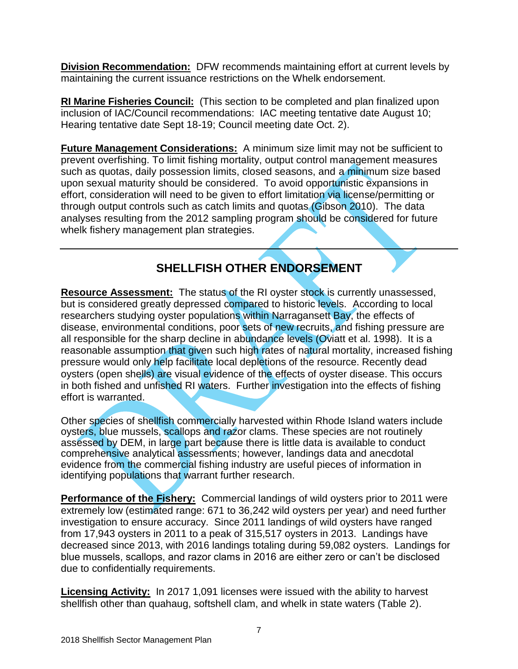**Division Recommendation:** DFW recommends maintaining effort at current levels by maintaining the current issuance restrictions on the Whelk endorsement.

**RI Marine Fisheries Council:** (This section to be completed and plan finalized upon inclusion of IAC/Council recommendations: IAC meeting tentative date August 10; Hearing tentative date Sept 18-19; Council meeting date Oct. 2).

**Future Management Considerations:** A minimum size limit may not be sufficient to prevent overfishing. To limit fishing mortality, output control management measures such as quotas, daily possession limits, closed seasons, and a minimum size based upon sexual maturity should be considered. To avoid opportunistic expansions in effort, consideration will need to be given to effort limitation via license/permitting or through output controls such as catch limits and quotas (Gibson 2010). The data analyses resulting from the 2012 sampling program should be considered for future whelk fishery management plan strategies.

# **SHELLFISH OTHER ENDORSEMENT**

**Resource Assessment:** The status of the RI oyster stock is currently unassessed, but is considered greatly depressed compared to historic levels. According to local researchers studying oyster populations within Narragansett Bay, the effects of disease, environmental conditions, poor sets of new recruits, and fishing pressure are all responsible for the sharp decline in abundance levels (Oviatt et al. 1998). It is a reasonable assumption that given such high rates of natural mortality, increased fishing pressure would only help facilitate local depletions of the resource. Recently dead oysters (open shells) are visual evidence of the effects of oyster disease. This occurs in both fished and unfished RI waters. Further investigation into the effects of fishing effort is warranted.

Other species of shellfish commercially harvested within Rhode Island waters include oysters, blue mussels, scallops and razor clams. These species are not routinely assessed by DEM, in large part because there is little data is available to conduct comprehensive analytical assessments; however, landings data and anecdotal evidence from the commercial fishing industry are useful pieces of information in identifying populations that warrant further research.

**Performance of the Fishery:** Commercial landings of wild oysters prior to 2011 were extremely low (estimated range: 671 to 36,242 wild oysters per year) and need further investigation to ensure accuracy. Since 2011 landings of wild oysters have ranged from 17,943 oysters in 2011 to a peak of 315,517 oysters in 2013. Landings have decreased since 2013, with 2016 landings totaling during 59,082 oysters. Landings for blue mussels, scallops, and razor clams in 2016 are either zero or can't be disclosed due to confidentially requirements.

**Licensing Activity:** In 2017 1,091 licenses were issued with the ability to harvest shellfish other than quahaug, softshell clam, and whelk in state waters (Table 2).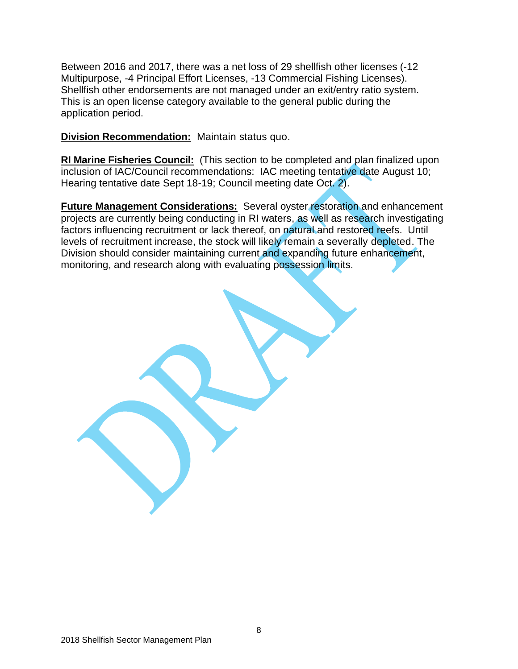Between 2016 and 2017, there was a net loss of 29 shellfish other licenses (-12 Multipurpose, -4 Principal Effort Licenses, -13 Commercial Fishing Licenses). Shellfish other endorsements are not managed under an exit/entry ratio system. This is an open license category available to the general public during the application period.

**Division Recommendation:** Maintain status quo.

**RI Marine Fisheries Council:** (This section to be completed and plan finalized upon inclusion of IAC/Council recommendations: IAC meeting tentative date August 10; Hearing tentative date Sept 18-19; Council meeting date Oct. 2).

**Future Management Considerations:** Several oyster restoration and enhancement projects are currently being conducting in RI waters, as well as research investigating factors influencing recruitment or lack thereof, on natural and restored reefs. Until levels of recruitment increase, the stock will likely remain a severally depleted. The Division should consider maintaining current and expanding future enhancement, monitoring, and research along with evaluating possession limits.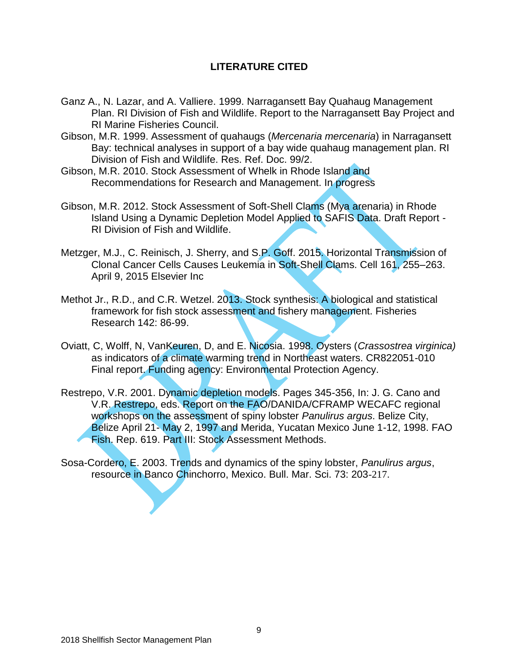#### **LITERATURE CITED**

- Ganz A., N. Lazar, and A. Valliere. 1999. Narragansett Bay Quahaug Management Plan. RI Division of Fish and Wildlife. Report to the Narragansett Bay Project and RI Marine Fisheries Council.
- Gibson, M.R. 1999. Assessment of quahaugs (*Mercenaria mercenaria*) in Narragansett Bay: technical analyses in support of a bay wide quahaug management plan. RI Division of Fish and Wildlife. Res. Ref. Doc. 99/2.
- Gibson, M.R. 2010. Stock Assessment of Whelk in Rhode Island and Recommendations for Research and Management. In progress
- Gibson, M.R. 2012. Stock Assessment of Soft-Shell Clams (Mya arenaria) in Rhode Island Using a Dynamic Depletion Model Applied to SAFIS Data. Draft Report - RI Division of Fish and Wildlife.
- Metzger, M.J., C. Reinisch, J. Sherry, and S.P. Goff. 2015. Horizontal Transmission of Clonal Cancer Cells Causes Leukemia in Soft-Shell Clams. Cell 161, 255–263. April 9, 2015 Elsevier Inc
- Methot Jr., R.D., and C.R. Wetzel. 2013. Stock synthesis: A biological and statistical framework for fish stock assessment and fishery management. Fisheries Research 142: 86-99.
- Oviatt, C, Wolff, N, VanKeuren, D, and E. Nicosia. 1998. Oysters (*Crassostrea virginica)*  as indicators of a climate warming trend in Northeast waters. CR822051-010 Final report. Funding agency: Environmental Protection Agency.
- Restrepo, V.R. 2001. Dynamic depletion models. Pages 345-356, In: J. G. Cano and V.R. Restrepo, eds. Report on the FAO/DANIDA/CFRAMP WECAFC regional workshops on the assessment of spiny lobster *Panulirus argus*. Belize City, Belize April 21- May 2, 1997 and Merida, Yucatan Mexico June 1-12, 1998. FAO Fish. Rep. 619. Part III: Stock Assessment Methods.
- Sosa-Cordero, E. 2003. Trends and dynamics of the spiny lobster, *Panulirus argus*, resource in Banco Chinchorro, Mexico. Bull. Mar. Sci. 73: 203-217.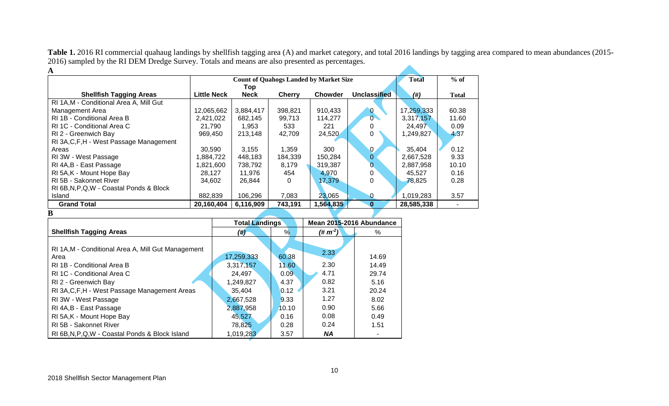Table 1. 2016 RI commercial quahaug landings by shellfish tagging area (A) and market category, and total 2016 landings by tagging area compared to mean abundances (2015-2016) sampled by the RI DEM Dredge Survey. Totals and means are also presented as percentages.  $\blacktriangle$ **A**

| $\mathbf{A}$                              |                    |              |               |                |                     |            |       |
|-------------------------------------------|--------------------|--------------|---------------|----------------|---------------------|------------|-------|
|                                           |                    | <b>Total</b> | $%$ of        |                |                     |            |       |
|                                           |                    | Top          |               |                |                     |            |       |
| <b>Shellfish Tagging Areas</b>            | <b>Little Neck</b> | <b>Neck</b>  | <b>Cherry</b> | <b>Chowder</b> | <b>Unclassified</b> | (# )       | Total |
| RI 1A, M - Conditional Area A, Mill Gut   |                    |              |               |                |                     |            |       |
| Management Area                           | 12,065,662         | 3,884,417    | 398,821       | 910,433        | 0                   | 17,259,333 | 60.38 |
| RI 1B - Conditional Area B                | 2,421,022          | 682,145      | 99,713        | 114,277        | $0^-$               | 3,317,157  | 11.60 |
| RI 1C - Conditional Area C                | 21.790             | 1,953        | 533           | 221            |                     | 24,497     | 0.09  |
| RI 2 - Greenwich Bay                      | 969,450            | 213,148      | 42,709        | 24,520         | 0                   | 1,249,827  | 4.37  |
| RI 3A, C, F, H - West Passage Management  |                    |              |               |                |                     |            |       |
| Areas                                     | 30,590             | 3,155        | 1,359         | 300            | $\mathbf{0}$        | 35,404     | 0.12  |
| RI 3W - West Passage                      | 1,884,722          | 448,183      | 184,339       | 150,284        | $\overline{0}$      | 2,667,528  | 9.33  |
| RI 4A, B - East Passage                   | 1,821,600          | 738,792      | 8,179         | 319,387        |                     | 2,887,958  | 10.10 |
| RI 5A, K - Mount Hope Bay                 | 28,127             | 11,976       | 454           | 4,970          | 0                   | 45.527     | 0.16  |
| RI 5B - Sakonnet River                    | 34.602             | 26.844       | 0             | 17,379         | 0                   | 78,825     | 0.28  |
| RI 6B, N, P, Q, W - Coastal Ponds & Block |                    |              |               |                |                     |            |       |
| Island                                    | 882,839            | 106,296      | 7,083         | 23,065         |                     | 1,019,283  | 3.57  |
| <b>Grand Total</b>                        | 20,160,404         | 6,116,909    | 743,191       | 1,564,835      | 0                   | 28,585,338 |       |
| B                                         |                    |              |               |                |                     |            |       |

|                                                                                                                                                                                                                                                                                                            | <b>Total Landings</b>                                                                        |                                                                 | Mean 2015-2016 Abundance                                             |                                                                          |  |
|------------------------------------------------------------------------------------------------------------------------------------------------------------------------------------------------------------------------------------------------------------------------------------------------------------|----------------------------------------------------------------------------------------------|-----------------------------------------------------------------|----------------------------------------------------------------------|--------------------------------------------------------------------------|--|
| <b>Shellfish Tagging Areas</b>                                                                                                                                                                                                                                                                             | (4)                                                                                          | %                                                               | $(\# m^2)$                                                           | %                                                                        |  |
| RI 1A, M - Conditional Area A, Mill Gut Management<br>Area<br>RI 1B - Conditional Area B<br>RI 1C - Conditional Area C<br>RI 2 - Greenwich Bay<br>RI 3A, C, F, H - West Passage Management Areas<br>RI 3W - West Passage<br>RI 4A, B - East Passage<br>RI 5A, K - Mount Hope Bay<br>RI 5B - Sakonnet River | 17,259,333<br>3,317,157<br>24.497<br>1,249,827<br>35,404<br>2,667,528<br>2,887,958<br>45,527 | 60.38<br>11.60<br>0.09<br>4.37<br>0.12<br>9.33<br>10.10<br>0.16 | 2.33<br>2.30<br>4.71<br>0.82<br>3.21<br>1.27<br>0.90<br>0.08<br>0.24 | 14.69<br>14.49<br>29.74<br>5.16<br>20.24<br>8.02<br>5.66<br>0.49<br>1.51 |  |
| RI 6B, N, P, Q, W - Coastal Ponds & Block Island                                                                                                                                                                                                                                                           | 78,825<br>1.019.283                                                                          | 0.28<br>3.57                                                    | NA.                                                                  |                                                                          |  |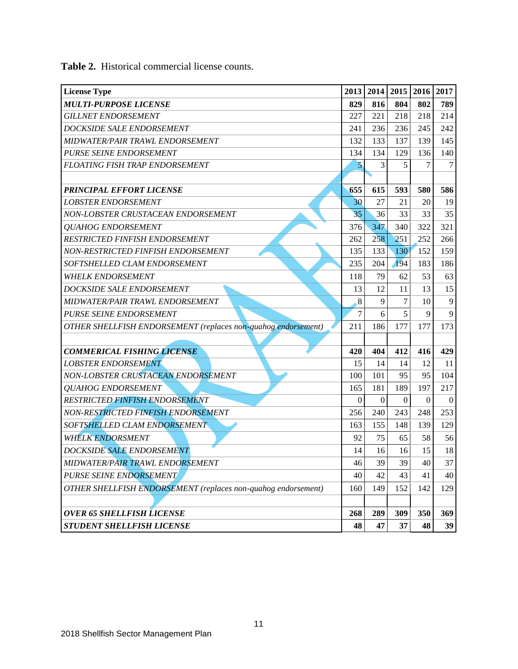| <b>License Type</b>                                           | 2013         |                  | 2014 2015 | 2016         | 2017         |
|---------------------------------------------------------------|--------------|------------------|-----------|--------------|--------------|
| <b>MULTI-PURPOSE LICENSE</b>                                  | 829          | 816              | 804       | 802          | 789          |
| <b>GILLNET ENDORSEMENT</b>                                    | 227          | 221              | 218       | 218          | 214          |
| <b>DOCKSIDE SALE ENDORSEMENT</b>                              | 241          | 236              | 236       | 245          | 242          |
| MIDWATER/PAIR TRAWL ENDORSEMENT                               | 132          | 133              | 137       | 139          | 145          |
| PURSE SEINE ENDORSEMENT                                       | 134          | 134              | 129       | 136          | 140          |
| <b>FLOATING FISH TRAP ENDORSEMENT</b>                         | 5            | 3                | 5         | 7            | 7            |
|                                                               |              |                  |           |              |              |
| <b>PRINCIPAL EFFORT LICENSE</b>                               | 655          | 615              | 593       | 580          | 586          |
| <b>LOBSTER ENDORSEMENT</b>                                    | 30           | 27               | 21        | 20           | 19           |
| NON-LOBSTER CRUSTACEAN ENDORSEMENT                            | 35           | 36               | 33        | 33           | 35           |
| <b>OUAHOG ENDORSEMENT</b>                                     | 376          | 347              | 340       | 322          | 321          |
| RESTRICTED FINFISH ENDORSEMENT                                | 262          | 258              | 251       | 252          | 266          |
| NON-RESTRICTED FINFISH ENDORSEMENT                            | 135          | 133              | 130       | 152          | 159          |
| SOFTSHELLED CLAM ENDORSEMENT                                  | 235          | 204              | 194       | 183          | 186          |
| <b>WHELK ENDORSEMENT</b>                                      | 118          | 79               | 62        | 53           | 63           |
| <b>DOCKSIDE SALE ENDORSEMENT</b>                              | 13           | 12               | 11        | 13           | 15           |
| MIDWATER/PAIR TRAWL ENDORSEMENT                               | 8            | 9                | 7         | 10           | 9            |
| PURSE SEINE ENDORSEMENT                                       | 7            | 6                | 5         | $\mathbf{Q}$ | $\mathbf{Q}$ |
| OTHER SHELLFISH ENDORSEMENT (replaces non-quahog endorsement) | 211          | 186              | 177       | 177          | 173          |
|                                                               |              |                  |           |              |              |
| <b>COMMERICAL FISHING LICENSE</b>                             | 420          | 404              | 412       | 416          | 429          |
| <b>LOBSTER ENDORSEMENT</b>                                    | 15           | 14               | 14        | 12           | 11           |
| NON-LOBSTER CRUSTACEAN ENDORSEMENT                            | 100          | 101              | 95        | 95           | 104          |
| <b>OUAHOG ENDORSEMENT</b>                                     | 165          | 181              | 189       | 197          | 217          |
| RESTRICTED FINFISH ENDORSEMENT                                | $\mathbf{0}$ | $\boldsymbol{0}$ | $\Omega$  | $\Omega$     | $\Omega$     |
| NON-RESTRICTED FINFISH ENDORSEMENT                            | 256          | 240              | 243       | 248          | 253          |
| SOFTSHELLED CLAM ENDORSEMENT                                  | 163          | 155              | 148       | 139          | 129          |
| <b>WHELK ENDORSMENT</b>                                       | 92           | 75               | 65        | 58           | 56           |
| <b>DOCKSIDE SALE ENDORSEMENT</b>                              | 14           | 16               | 16        | 15           | 18           |
| MIDWATER/PAIR TRAWL ENDORSEMENT                               | 46           | 39               | 39        | 40           | 37           |
| PURSE SEINE ENDORSEMENT                                       | 40           | 42               | 43        | 41           | 40           |
| OTHER SHELLFISH ENDORSEMENT (replaces non-quahog endorsement) | 160          | 149              | 152       | 142          | 129          |
|                                                               |              |                  |           |              |              |
| <b>OVER 65 SHELLFISH LICENSE</b>                              | 268          | 289              | 309       | 350          | 369          |
| <b>STUDENT SHELLFISH LICENSE</b>                              | 48           | 47               | 37        | 48           | 39           |

**Table 2.** Historical commercial license counts.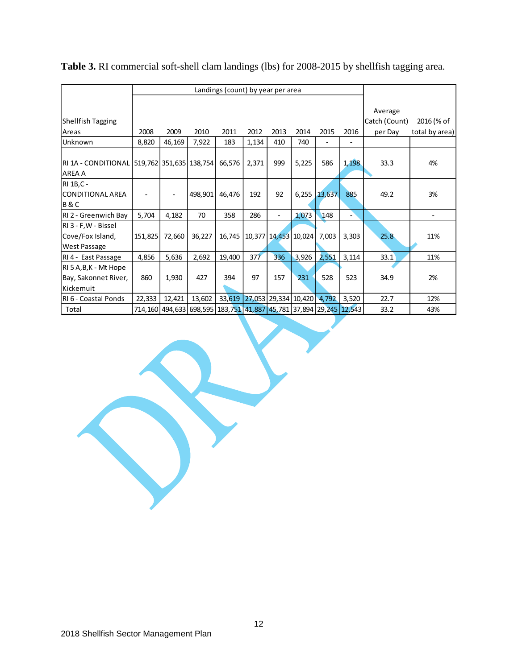|                                             | Landings (count) by year per area |                                                                    |         |        |       |      |                      |              |       |               |                          |
|---------------------------------------------|-----------------------------------|--------------------------------------------------------------------|---------|--------|-------|------|----------------------|--------------|-------|---------------|--------------------------|
|                                             |                                   |                                                                    |         |        |       |      |                      |              |       |               |                          |
|                                             |                                   |                                                                    |         |        |       |      |                      |              |       | Average       |                          |
| Shellfish Tagging                           |                                   |                                                                    |         |        |       |      |                      |              |       | Catch (Count) | 2016 (% of               |
| Areas                                       | 2008                              | 2009                                                               | 2010    | 2011   | 2012  | 2013 | 2014                 | 2015         | 2016  | per Day       | total by area)           |
| Unknown                                     | 8,820                             | 46,169                                                             | 7,922   | 183    | 1,134 | 410  | 740                  |              |       |               |                          |
|                                             |                                   |                                                                    |         |        |       |      |                      |              |       |               |                          |
| RI 1A - CONDITIONAL 519,762 351,635 138,754 |                                   |                                                                    |         | 66,576 | 2,371 | 999  | 5,225                | 586          | 1,198 | 33.3          | 4%                       |
| AREA A                                      |                                   |                                                                    |         |        |       |      |                      |              |       |               |                          |
| RI 1B, C -                                  |                                   |                                                                    |         |        |       |      |                      |              |       |               |                          |
| <b>CONDITIONAL AREA</b>                     |                                   |                                                                    | 498,901 | 46,476 | 192   | 92   |                      | 6,255 13,637 | 885   | 49.2          | 3%                       |
| <b>B&amp;C</b>                              |                                   |                                                                    |         |        |       |      |                      |              |       |               |                          |
| RI 2 - Greenwich Bay                        | 5,704                             | 4,182                                                              | 70      | 358    | 286   |      | 1,073                | 148          |       |               | $\overline{\phantom{a}}$ |
| RI 3 - F, W - Bissel                        |                                   |                                                                    |         |        |       |      |                      |              |       |               |                          |
| Cove/Fox Island,                            | 151,825                           | 72,660                                                             | 36,227  | 16,745 |       |      | 10,377 14,453 10,024 | 7,003        | 3,303 | 25.8          | 11%                      |
| <b>West Passage</b>                         |                                   |                                                                    |         |        |       |      |                      |              |       |               |                          |
| RI 4 - East Passage                         | 4,856                             | 5,636                                                              | 2,692   | 19,400 | 377   | 336  | 3,926                | 2,551        | 3,114 | 33.1          | 11%                      |
| RI 5 A, B, K - Mt Hope                      |                                   |                                                                    |         |        |       |      |                      |              |       |               |                          |
| Bay, Sakonnet River,                        | 860                               | 1,930                                                              | 427     | 394    | 97    | 157  | 231                  | 528          | 523   | 34.9          | 2%                       |
| Kickemuit                                   |                                   |                                                                    |         |        |       |      |                      |              |       |               |                          |
| RI 6 - Coastal Ponds                        | 22,333                            | 12,421                                                             | 13,602  | 33,619 |       |      | 27,053 29,334 10,420 | 4,792        | 3,520 | 22.7          | 12%                      |
| Total                                       |                                   | 714,160 494,633 698,595 183,751 41,887 45,781 37,894 29,245 12,543 |         |        |       |      |                      |              |       | 33.2          | 43%                      |

| Table 3. RI commercial soft-shell clam landings (lbs) for 2008-2015 by shellfish tagging area. |  |  |
|------------------------------------------------------------------------------------------------|--|--|
|------------------------------------------------------------------------------------------------|--|--|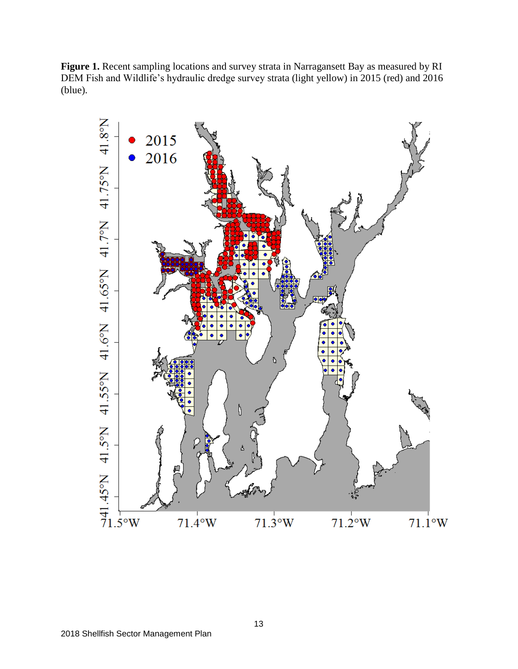Figure 1. Recent sampling locations and survey strata in Narragansett Bay as measured by RI DEM Fish and Wildlife's hydraulic dredge survey strata (light yellow) in 2015 (red) and 2016 (blue).

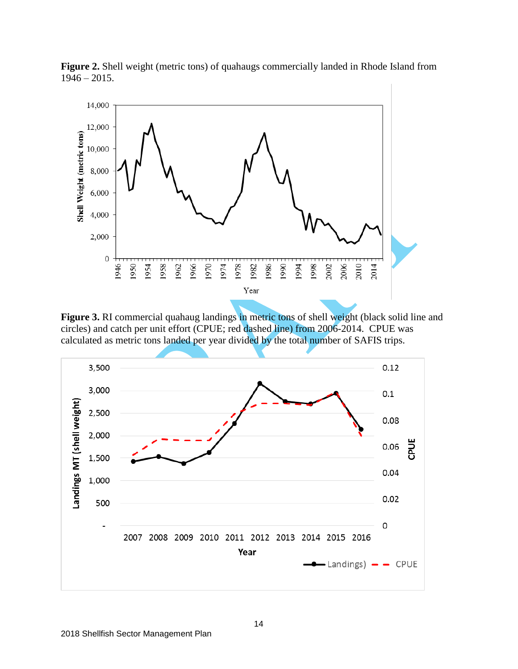

**Figure 2.** Shell weight (metric tons) of quahaugs commercially landed in Rhode Island from  $1946 - 2015$ .

**Figure 3.** RI commercial quahaug landings in metric tons of shell weight (black solid line and circles) and catch per unit effort (CPUE; red dashed line) from 2006-2014. CPUE was calculated as metric tons landed per year divided by the total number of SAFIS trips.

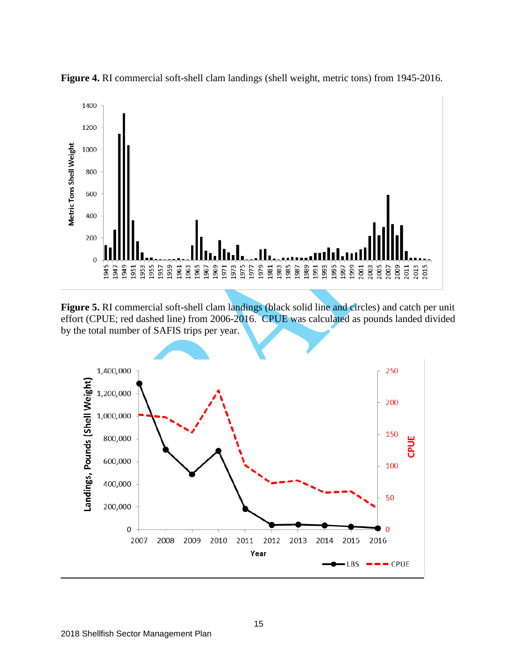

**Figure 4.** RI commercial soft-shell clam landings (shell weight, metric tons) from 1945-2016.

Figure 5. RI commercial soft-shell clam landings (black solid line and circles) and catch per unit effort (CPUE; red dashed line) from 2006-2016. CPUE was calculated as pounds landed divided by the total number of SAFIS trips per year.

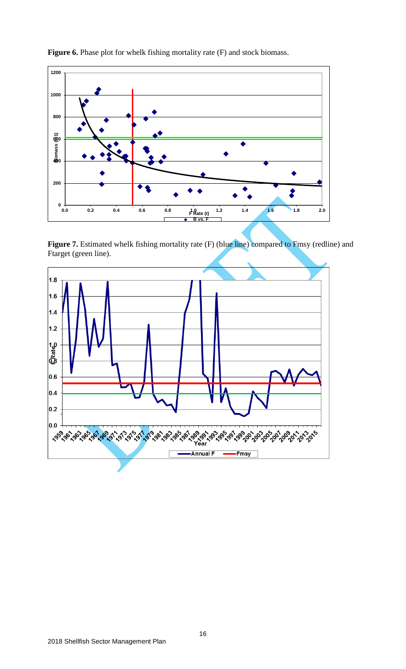

Figure 6. Phase plot for whelk fishing mortality rate (F) and stock biomass.

Figure 7. Estimated whelk fishing mortality rate (F) (blue line) compared to Fmsy (redline) and Ftarget (green line).

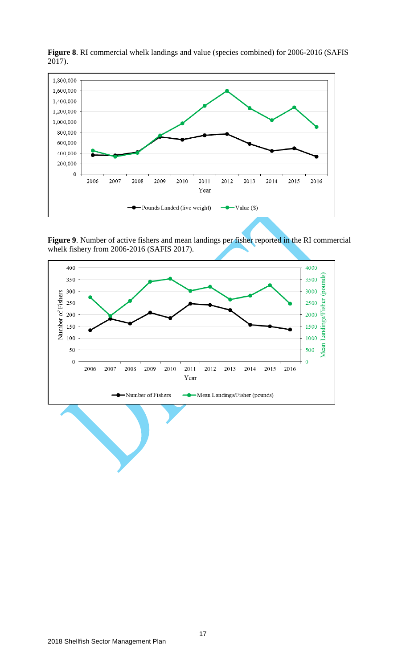

**Figure 8**. RI commercial whelk landings and value (species combined) for 2006-2016 (SAFIS 2017).

Figure 9. Number of active fishers and mean landings per fisher reported in the RI commercial whelk fishery from 2006-2016 (SAFIS 2017).